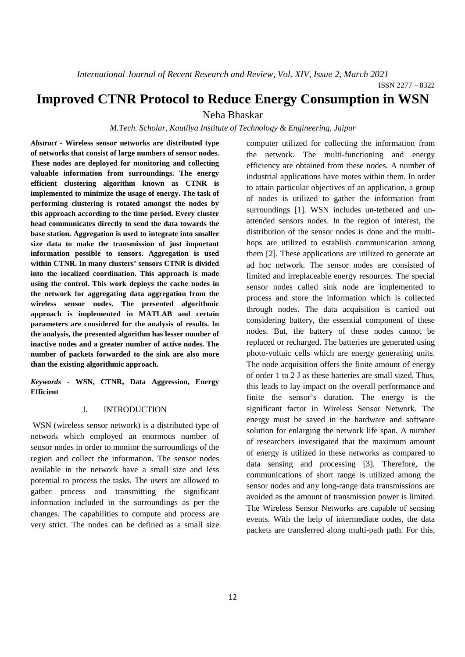ISSN 2277 – 8322

# **Improved CTNR Protocol to Reduce Energy Consumption in WSN**

Neha Bhaskar

## *M.Tech. Scholar, Kautilya Institute of Technology & Engineering, Jaipur*

*Abstract* **- Wireless sensor networks are distributed type of networks that consist of large numbers of sensor nodes. These nodes are deployed for monitoring and collecting valuable information from surroundings. The energy efficient clustering algorithm known as CTNR is implemented to minimize the usage of energy. The task of performing clustering is rotated amongst the nodes by this approach according to the time period. Every cluster head communicates directly to send the data towards the base station. Aggregation is used to integrate into smaller size data to make the transmission of just important information possible to sensors. Aggregation is used within CTNR. In many clusters' sensors CTNR is divided into the localized coordination. This approach is made using the control. This work deploys the cache nodes in the network for aggregating data aggregation from the wireless sensor nodes. The presented algorithmic approach is implemented in MATLAB and certain parameters are considered for the analysis of results. In the analysis, the presented algorithm has lesser number of inactive nodes and a greater number of active nodes. The number of packets forwarded to the sink are also more than the existing algorithmic approach.** 

*Keywords* **- WSN, CTNR, Data Aggression, Energy Efficient** 

## I. INTRODUCTION

 WSN (wireless sensor network) is a distributed type of network which employed an enormous number of sensor nodes in order to monitor the surroundings of the region and collect the information. The sensor nodes available in the network have a small size and less potential to process the tasks. The users are allowed to gather process and transmitting the significant information included in the surroundings as per the changes. The capabilities to compute and process are very strict. The nodes can be defined as a small size computer utilized for collecting the information from the network. The multi-functioning and energy efficiency are obtained from these nodes. A number of industrial applications have motes within them. In order to attain particular objectives of an application, a group of nodes is utilized to gather the information from surroundings [1]. WSN includes un-tethered and unattended sensors nodes. In the region of interest, the distribution of the sensor nodes is done and the multihops are utilized to establish communication among them [2]. These applications are utilized to generate an ad hoc network. The sensor nodes are consisted of limited and irreplaceable energy resources. The special sensor nodes called sink node are implemented to process and store the information which is collected through nodes. The data acquisition is carried out considering battery, the essential component of these nodes. But, the battery of these nodes cannot be replaced or recharged. The batteries are generated using photo-voltaic cells which are energy generating units. The node acquisition offers the finite amount of energy of order 1 to 2 J as these batteries are small sized. Thus, this leads to lay impact on the overall performance and finite the sensor's duration. The energy is the significant factor in Wireless Sensor Network. The energy must be saved in the hardware and software solution for enlarging the network life span. A number of researchers investigated that the maximum amount of energy is utilized in these networks as compared to data sensing and processing [3]. Therefore, the communications of short range is utilized among the sensor nodes and any long-range data transmissions are avoided as the amount of transmission power is limited. The Wireless Sensor Networks are capable of sensing events. With the help of intermediate nodes, the data packets are transferred along multi-path path. For this,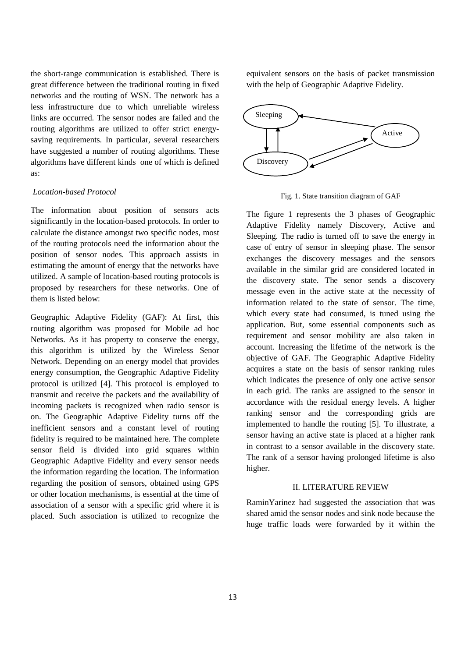the short-range communication is established. There is great difference between the traditional routing in fixed networks and the routing of WSN. The network has a less infrastructure due to which unreliable wireless links are occurred. The sensor nodes are failed and the routing algorithms are utilized to offer strict energysaving requirements. In particular, several researchers have suggested a number of routing algorithms. These algorithms have different kinds one of which is defined as:

## *Location-based Protocol*

The information about position of sensors acts significantly in the location-based protocols. In order to calculate the distance amongst two specific nodes, most of the routing protocols need the information about the position of sensor nodes. This approach assists in estimating the amount of energy that the networks have utilized. A sample of location-based routing protocols is proposed by researchers for these networks. One of them is listed below:

Geographic Adaptive Fidelity (GAF): At first, this routing algorithm was proposed for Mobile ad hoc Networks. As it has property to conserve the energy, this algorithm is utilized by the Wireless Senor Network. Depending on an energy model that provides energy consumption, the Geographic Adaptive Fidelity protocol is utilized [4]. This protocol is employed to transmit and receive the packets and the availability of incoming packets is recognized when radio sensor is on. The Geographic Adaptive Fidelity turns off the inefficient sensors and a constant level of routing fidelity is required to be maintained here. The complete sensor field is divided into grid squares within Geographic Adaptive Fidelity and every sensor needs the information regarding the location. The information regarding the position of sensors, obtained using GPS or other location mechanisms, is essential at the time of association of a sensor with a specific grid where it is placed. Such association is utilized to recognize the

equivalent sensors on the basis of packet transmission with the help of Geographic Adaptive Fidelity.



Fig. 1. State transition diagram of GAF

The figure 1 represents the 3 phases of Geographic Adaptive Fidelity namely Discovery, Active and Sleeping. The radio is turned off to save the energy in case of entry of sensor in sleeping phase. The sensor exchanges the discovery messages and the sensors available in the similar grid are considered located in the discovery state. The senor sends a discovery message even in the active state at the necessity of information related to the state of sensor. The time, which every state had consumed, is tuned using the application. But, some essential components such as requirement and sensor mobility are also taken in account. Increasing the lifetime of the network is the objective of GAF. The Geographic Adaptive Fidelity acquires a state on the basis of sensor ranking rules which indicates the presence of only one active sensor in each grid. The ranks are assigned to the sensor in accordance with the residual energy levels. A higher ranking sensor and the corresponding grids are implemented to handle the routing [5]. To illustrate, a sensor having an active state is placed at a higher rank in contrast to a sensor available in the discovery state. The rank of a sensor having prolonged lifetime is also higher.

#### II. LITERATURE REVIEW

RaminYarinez had suggested the association that was shared amid the sensor nodes and sink node because the huge traffic loads were forwarded by it within the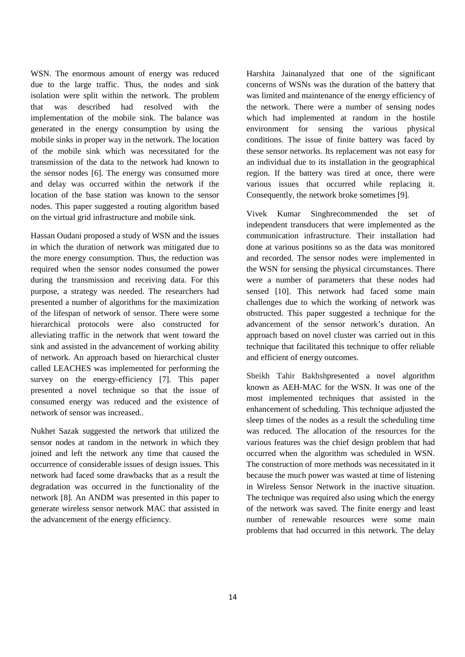WSN. The enormous amount of energy was reduced due to the large traffic. Thus, the nodes and sink isolation were split within the network. The problem that was described had resolved with the implementation of the mobile sink. The balance was generated in the energy consumption by using the mobile sinks in proper way in the network. The location of the mobile sink which was necessitated for the transmission of the data to the network had known to the sensor nodes [6]. The energy was consumed more and delay was occurred within the network if the location of the base station was known to the sensor nodes. This paper suggested a routing algorithm based on the virtual grid infrastructure and mobile sink.

Hassan Oudani proposed a study of WSN and the issues in which the duration of network was mitigated due to the more energy consumption. Thus, the reduction was required when the sensor nodes consumed the power during the transmission and receiving data. For this purpose, a strategy was needed. The researchers had presented a number of algorithms for the maximization of the lifespan of network of sensor. There were some hierarchical protocols were also constructed for alleviating traffic in the network that went toward the sink and assisted in the advancement of working ability of network. An approach based on hierarchical cluster called LEACHES was implemented for performing the survey on the energy-efficiency [7]. This paper presented a novel technique so that the issue of consumed energy was reduced and the existence of network of sensor was increased..

Nukhet Sazak suggested the network that utilized the sensor nodes at random in the network in which they joined and left the network any time that caused the occurrence of considerable issues of design issues. This network had faced some drawbacks that as a result the degradation was occurred in the functionality of the network [8]. An ANDM was presented in this paper to generate wireless sensor network MAC that assisted in the advancement of the energy efficiency.

Harshita Jainanalyzed that one of the significant concerns of WSNs was the duration of the battery that was limited and maintenance of the energy efficiency of the network. There were a number of sensing nodes which had implemented at random in the hostile environment for sensing the various physical conditions. The issue of finite battery was faced by these sensor networks. Its replacement was not easy for an individual due to its installation in the geographical region. If the battery was tired at once, there were various issues that occurred while replacing it. Consequently, the network broke sometimes [9].

Vivek Kumar Singhrecommended the set of independent transducers that were implemented as the communication infrastructure. Their installation had done at various positions so as the data was monitored and recorded. The sensor nodes were implemented in the WSN for sensing the physical circumstances. There were a number of parameters that these nodes had sensed [10]. This network had faced some main challenges due to which the working of network was obstructed. This paper suggested a technique for the advancement of the sensor network's duration. An approach based on novel cluster was carried out in this technique that facilitated this technique to offer reliable and efficient of energy outcomes.

Sheikh Tahir Bakhshpresented a novel algorithm known as AEH-MAC for the WSN. It was one of the most implemented techniques that assisted in the enhancement of scheduling. This technique adjusted the sleep times of the nodes as a result the scheduling time was reduced. The allocation of the resources for the various features was the chief design problem that had occurred when the algorithm was scheduled in WSN. The construction of more methods was necessitated in it because the much power was wasted at time of listening in Wireless Sensor Network in the inactive situation. The technique was required also using which the energy of the network was saved. The finite energy and least number of renewable resources were some main problems that had occurred in this network. The delay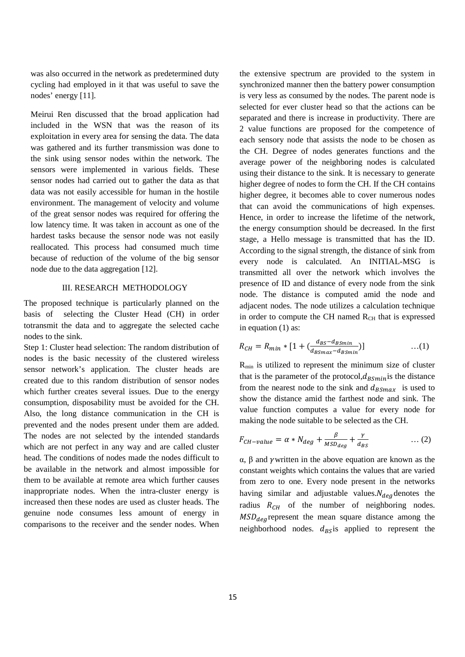was also occurred in the network as predetermined duty cycling had employed in it that was useful to save the nodes' energy [11].

Meirui Ren discussed that the broad application had included in the WSN that was the reason of its exploitation in every area for sensing the data. The data was gathered and its further transmission was done to the sink using sensor nodes within the network. The sensors were implemented in various fields. These sensor nodes had carried out to gather the data as that data was not easily accessible for human in the hostile environment. The management of velocity and volume of the great sensor nodes was required for offering the low latency time. It was taken in account as one of the hardest tasks because the sensor node was not easily reallocated. This process had consumed much time because of reduction of the volume of the big sensor node due to the data aggregation [12].

# III. RESEARCH METHODOLOGY

The proposed technique is particularly planned on the basis of selecting the Cluster Head (CH) in order totransmit the data and to aggregate the selected cache nodes to the sink.

Step 1: Cluster head selection: The random distribution of nodes is the basic necessity of the clustered wireless sensor network's application. The cluster heads are created due to this random distribution of sensor nodes which further creates several issues. Due to the energy consumption, disposability must be avoided for the CH. Also, the long distance communication in the CH is prevented and the nodes present under them are added. The nodes are not selected by the intended standards which are not perfect in any way and are called cluster head. The conditions of nodes made the nodes difficult to be available in the network and almost impossible for them to be available at remote area which further causes inappropriate nodes. When the intra-cluster energy is increased then these nodes are used as cluster heads. The genuine node consumes less amount of energy in comparisons to the receiver and the sender nodes. When

the extensive spectrum are provided to the system in synchronized manner then the battery power consumption is very less as consumed by the nodes. The parent node is selected for ever cluster head so that the actions can be separated and there is increase in productivity. There are 2 value functions are proposed for the competence of each sensory node that assists the node to be chosen as the CH. Degree of nodes generates functions and the average power of the neighboring nodes is calculated using their distance to the sink. It is necessary to generate higher degree of nodes to form the CH. If the CH contains higher degree, it becomes able to cover numerous nodes that can avoid the communications of high expenses. Hence, in order to increase the lifetime of the network, the energy consumption should be decreased. In the first stage, a Hello message is transmitted that has the ID. According to the signal strength, the distance of sink from every node is calculated. An INITIAL-MSG is transmitted all over the network which involves the presence of ID and distance of every node from the sink node. The distance is computed amid the node and adjacent nodes. The node utilizes a calculation technique in order to compute the CH named  $R<sub>CH</sub>$  that is expressed in equation (1) as:

$$
R_{CH} = R_{min} * [1 + (\frac{d_{BS} - d_{BSmin}}{d_{BSmax} - d_{BSmin}})] \qquad ...(1)
$$

Rmin is utilized to represent the minimum size of cluster that is the parameter of the protocol,  $d_{BSmin}$  is the distance from the nearest node to the sink and  $d_{BSmax}$  is used to show the distance amid the farthest node and sink. The value function computes a value for every node for making the node suitable to be selected as the CH.

$$
F_{CH-value} = \alpha * N_{deg} + \frac{\beta}{MSD_{deg}} + \frac{\gamma}{d_{BS}} \qquad \qquad \dots (2)
$$

 $\alpha$ , β and γwritten in the above equation are known as the constant weights which contains the values that are varied from zero to one. Every node present in the networks having similar and adjustable values. $N_{deg}$  denotes the radius  $R_{CH}$  of the number of neighboring nodes.  $MSD_{deq}$  represent the mean square distance among the neighborhood nodes.  $d_{BS}$  applied to represent the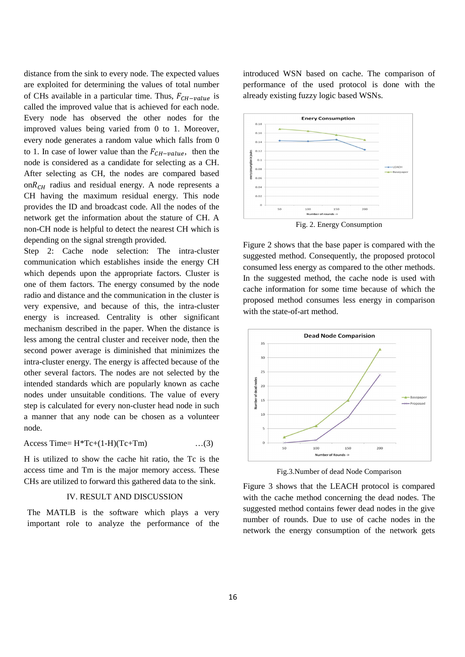distance from the sink to every node. The expected values are exploited for determining the values of total number of CHs available in a particular time. Thus,  $F_{CH-value}$  is called the improved value that is achieved for each node. Every node has observed the other nodes for the improved values being varied from 0 to 1. Moreover, every node generates a random value which falls from 0 to 1. In case of lower value than the  $F_{CH-value}$ , then the node is considered as a candidate for selecting as a CH. After selecting as CH, the nodes are compared based  $onR<sub>CH</sub>$  radius and residual energy. A node represents a CH having the maximum residual energy. This node provides the ID and broadcast code. All the nodes of the network get the information about the stature of CH. A non-CH node is helpful to detect the nearest CH which is depending on the signal strength provided.

Step 2: Cache node selection: The intra-cluster communication which establishes inside the energy CH which depends upon the appropriate factors. Cluster is one of them factors. The energy consumed by the node radio and distance and the communication in the cluster is very expensive, and because of this, the intra-cluster energy is increased. Centrality is other significant mechanism described in the paper. When the distance is less among the central cluster and receiver node, then the second power average is diminished that minimizes the intra-cluster energy. The energy is affected because of the other several factors. The nodes are not selected by the intended standards which are popularly known as cache nodes under unsuitable conditions. The value of every step is calculated for every non-cluster head node in such a manner that any node can be chosen as a volunteer node.

$$
Access Time = H*Tc + (1-H)(Tc+Tm) \qquad \qquad ...(3)
$$

H is utilized to show the cache hit ratio, the Tc is the access time and Tm is the major memory access. These CHs are utilized to forward this gathered data to the sink.

#### IV. RESULT AND DISCUSSION

The MATLB is the software which plays a very important role to analyze the performance of the introduced WSN based on cache. The comparison of performance of the used protocol is done with the already existing fuzzy logic based WSNs.



Fig. 2. Energy Consumption

Figure 2 shows that the base paper is compared with the suggested method. Consequently, the proposed protocol consumed less energy as compared to the other methods. In the suggested method, the cache node is used with cache information for some time because of which the proposed method consumes less energy in comparison with the state-of-art method.



Fig.3.Number of dead Node Comparison

Figure 3 shows that the LEACH protocol is compared with the cache method concerning the dead nodes. The suggested method contains fewer dead nodes in the give number of rounds. Due to use of cache nodes in the network the energy consumption of the network gets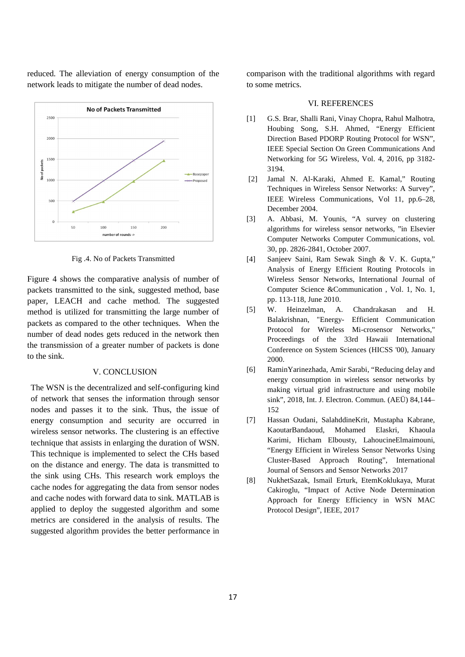reduced. The alleviation of energy consumption of the network leads to mitigate the number of dead nodes.



Fig .4. No of Packets Transmitted

Figure 4 shows the comparative analysis of number of packets transmitted to the sink, suggested method, base paper, LEACH and cache method. The suggested method is utilized for transmitting the large number of packets as compared to the other techniques. When the number of dead nodes gets reduced in the network then the transmission of a greater number of packets is done to the sink.

### V. CONCLUSION

The WSN is the decentralized and self-configuring kind of network that senses the information through sensor nodes and passes it to the sink. Thus, the issue of energy consumption and security are occurred in wireless sensor networks. The clustering is an effective technique that assists in enlarging the duration of WSN. This technique is implemented to select the CHs based on the distance and energy. The data is transmitted to the sink using CHs. This research work employs the cache nodes for aggregating the data from sensor nodes and cache nodes with forward data to sink. MATLAB is applied to deploy the suggested algorithm and some metrics are considered in the analysis of results. The suggested algorithm provides the better performance in comparison with the traditional algorithms with regard to some metrics.

#### VI. REFERENCES

- [1] G.S. Brar, Shalli Rani, Vinay Chopra, Rahul Malhotra, Houbing Song, S.H. Ahmed, "Energy Efficient Direction Based PDORP Routing Protocol for WSN", IEEE Special Section On Green Communications And Networking for 5G Wireless, Vol. 4, 2016, pp 3182- 3194.
- [2] Jamal N. Al-Karaki, Ahmed E. Kamal," Routing Techniques in Wireless Sensor Networks: A Survey", IEEE Wireless Communications, Vol 11, pp.6–28, December 2004.
- [3] A. Abbasi, M. Younis, "A survey on clustering algorithms for wireless sensor networks, "in Elsevier Computer Networks Computer Communications, vol. 30, pp. 2826-2841, October 2007.
- [4] Sanjeev Saini, Ram Sewak Singh & V. K. Gupta," Analysis of Energy Efficient Routing Protocols in Wireless Sensor Networks, International Journal of Computer Science &Communication , Vol. 1, No. 1, pp. 113-118, June 2010.
- [5] W. Heinzelman, A. Chandrakasan and H. Balakrishnan, "Energy- Efficient Communication Protocol for Wireless Mi-crosensor Networks," Proceedings of the 33rd Hawaii International Conference on System Sciences (HICSS '00), January 2000.
- [6] RaminYarinezhada, Amir Sarabi, "Reducing delay and energy consumption in wireless sensor networks by making virtual grid infrastructure and using mobile sink", 2018, Int. J. Electron. Commun. (AEÜ) 84,144– 152
- [7] Hassan Oudani, SalahddineKrit, Mustapha Kabrane, KaoutarBandaoud, Mohamed Elaskri, Khaoula Karimi, Hicham Elbousty, LahoucineElmaimouni, "Energy Efficient in Wireless Sensor Networks Using Cluster-Based Approach Routing", International Journal of Sensors and Sensor Networks 2017
- [8] NukhetSazak, Ismail Erturk, EtemKoklukaya, Murat Cakiroglu, "Impact of Active Node Determination Approach for Energy Efficiency in WSN MAC Protocol Design", IEEE, 2017